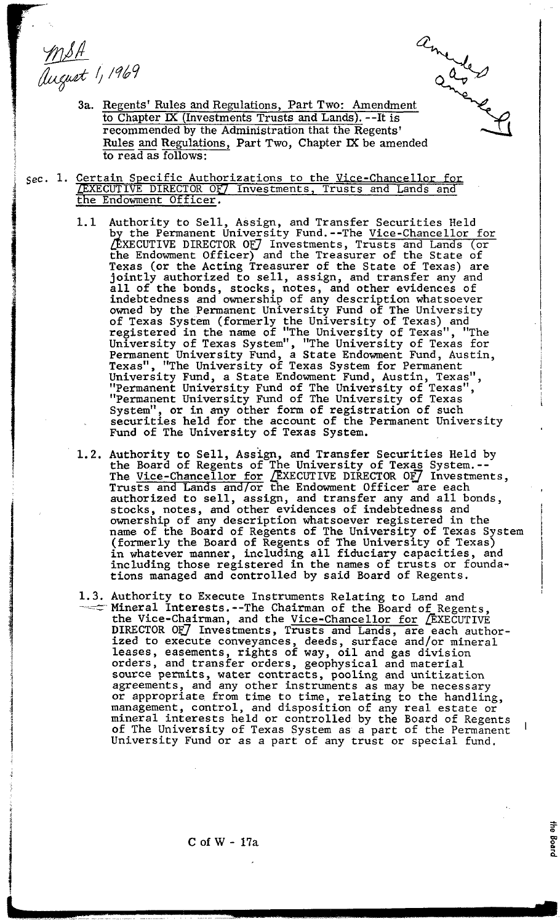MSA<br>august 1, 1969



the Board

- $\frac{4}{\pi}$  //1969<br>3a. <u>Regents' Rules and Regulations, Part Two: Amendment</u><br>3a. <u>Regents' Rules and Regulations, Part Two: Amendment</u> to Chapter **M** (Investments Trusts and Lands). --It is recommended by the Administration that the Regents' Rules and Regulations, Part Two, Chapter IX be amended to read as follows:
- sec. 1. <u>Certain Specific Authorizations to the Vice-C</u> LEXECUTIVE DIRECTOR OF Investments, Trusts and Lands and the Endowment Officer.
	- 1.1 Authority to Sell, Assign, and Transfer Securities Held by the Permanent University Fund.--The <u>Vice-Chancellor for</u> &XECUTIVE DIRECTOR OF^ Investments. Trusts and Lands (or the Endowment Officer) and the Treasurer of the State of Texas (or the Acting Treasurer of the State of Texas) are jointly authorized to sell, assign, and transfer any and all of the bonds, stocks, notes, and other evidences of indebtedness and ownership of any description whatsoever owned by the Permanent University Fund of The University of Texas System (formerly the University of Texas) and registered in the name of "The University of Texas", "The University of Texas System", "The University of Texas for Permanent University Fund, a State Endowment Fund, Austin, Texas", "The University of Texas System for Permanent University Fund, a State Endowment Fund, Austin, Texas",<br>"Permanent University Fund of The University of Texas", "Permanent University Fund of The University of Texas System", or in any other form of registration of such securities held for the account of the Permanent University Fund of The University of Texas System.
	- 1.2. Authority to Sell, Assign, and Transfer Securities Held by the Board of Regents of The University of Texas System.--<br>The Vice-Chancellor for /EXECUTIVE DIRECTOR OF/ Investments, Trusts and Lands and/or the Endowment Officer are each authorized to sell, assign, and transfer any and all bonds, stocks, notes, and other evidences of indebtedness and ownership of any description whatsoever registered in the name of the Board of Regents of The University of Texas System (formerly the Board of Regents of The University of Texas) in whatever manner, including all fiduciary capacities, and including those registered in the names of trusts or foundations managed and controlled by said Board of Regents.
	- 1.3. Authority to Execute Instruments Relating to Land and  $\sim$  Mineral Interests.--The Chairman of the Board of Regents, the Vice-Chairman, and the Vice-Chancellor for EXECUTIVE the vice-chairman, and the <u>vice-chancellor for</u> *L*EXECUTIVE<br>DIRECTOR OF Investments, Trusts and Lands, are each authorized to execute conveyances, deeds, surface and/or mineral leases, easements, rights of way, oil and gas division orders, and transfer orders, geophysical and material source permits, water contracts, pooling and unitization agreements, and any other instruments as may be necessary or appropriate from time to time, relating to the handling, management, control, and disposition of any real estate or mineral interests held or controlled by the Board of Regents of The University of Texas System as a part of the Permanent University Fund or as a part of any trust or special fund.

C of W - 17a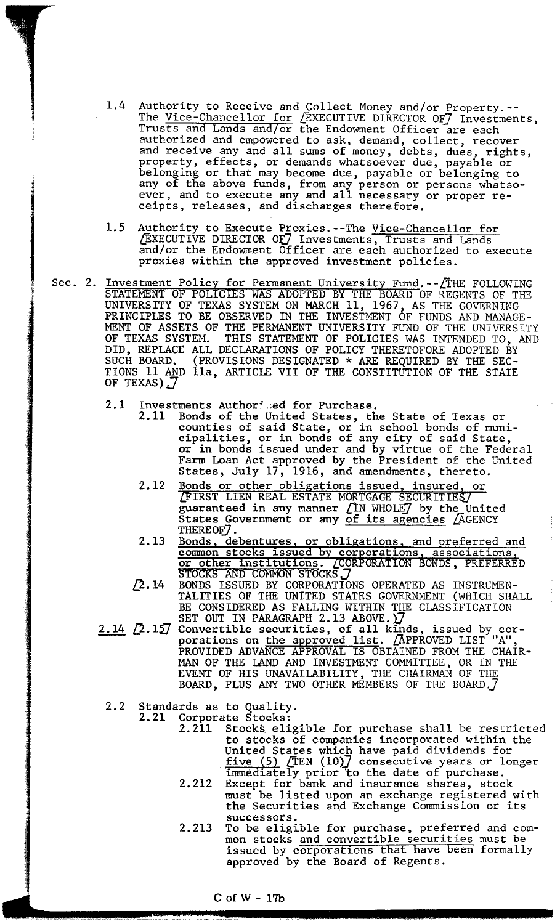- 1.4 Authority to Receive and Collect Money and/or Property.-- The Vice-Chancellor for *[EXECUTIVE DIRECTOR OF]* Investments, Trusts and Lands and/or the Endowment Officer are each authorized and empowered to ask, demand, collect, recover and receive any and all sums of money, debts, dues, rights, property, effects, or demands whatsoever due, payable or belonging or that may become due, payable or belonging to any of the above funds, from any person or persons whatsoever, and to execute any and all necessary or proper receipts, releases, and discharges therefore.
- 1.5 Authority to Execute Proxies.--The Vice-Chancellor for EXECUTIVE DIRECTOR OF Investments, Trusts and Lands and/or the Endowment Officer are each authorized to execute proxies within the approved investment policies.
- Sec. 2. <u>Investment Policy for Permanent University Fund</u>.--*[*THE FOLLOWING STATEMENT OF POLICIES WAS ADOPTED BY THE BOARD OF REGENTS OF THE UNIVERSITY OF TEXAS SYSTEM ON MARCH 11, 1967, AS THE GOVERNING PRINCIPLES TO BE OBSERVED IN THE INVESTMENT OF FUNDS AND MANAGE-MENT OF ASSETS OF THE PERMANENT UNIVERSITY FUND OF THE UNIVERSITY OF TEXAS SYSTEM. THIS STATEMENT OF POLICIES WAS INTENDED TO, AND DID, REPLACE ALL DECLARATIONS OF POLICY THERETOFORE ADOPTED BY SUCH BOARD. (PROVISIONS DESIGNATED **9;** ARE REQUIRED BY THE SEC-TIONS 11 AND lla, ARTICLE VII OF THE CONSTITUTION OF THE STATE OF TEXAS)  $\overline{J}$ 
	- 2.1 Investments Authoriced for Purchase.
		- 2.11 Bonds of the United States, the State of Texas or counties of said State, or in school bonds of municipalities, or in bonds of any city of said State, or in bonds issued under and by virtue of the Federal Farm Loan Act approved by the President of the United States, July 17, 1916, and amendments, thereto.
		- 2.12 Bonds or other obligations issued, insured, or IRST LIEN REAL ESTATE MORTGAGE SECURITIE guaranteed in any manner  $\Gamma$ N WHOLE $\Gamma$  by the United States Government or any of its agencies *(*AGENCY THEREOF).
		- 2.13 Bonds, debentures, or obligations, and preferred and common stocks issued by corporations, associations, or other institutions. GORPORATION BONDS, PREFERRED
	- STOCKS AND COMMON STOCKS. 7<br>2.14 BONDS ISSUED BY CORPORATIONS OPERATED AS INSTRUMEN-TALITIES OF THE UNITED STATES GOVERNMENT (WHICH SHALL BE CONSIDERED AS FALLING WITHIN THE CLASSIFICATION BE CONSIDERED AS FALLING WITHIN THE CLASSIFICATION SET OUT IN PARAGRAPH 2.13 ABOVE.  $\sum$ CORPORATION BONDS, PREFERRED<br>
	2.14 BONDS ISSUED BY CORPORATION BONDS, PREFERRED<br>
	2.14 BONDS ISSUED BY CORPORATIONS OPERATED AS INSTRUMEN-<br>
	TALITIES OF THE UNITED STATES GOVERNMENT (WHICH SHALL<br>
	BE CONSIDERED AS FALLING WIT
	- porations on <u>the approved list</u>.  $\sqrt{\text{APPROVED LIST}}$  "A", PROVIDED ADVANCE APPROVAL IS OBTAINED FROM THE CHAIR-MAN OF THE LAND AND INVESTMENT COMMITTEE, OR IN THE EVENT OF HIS UNAVAILABILITY, THE CHAIRMAN OF THE BOARD, PLUS ANY TWO GTHER MEMBERS OF THE BOARD.]
	- 2.2 Standards as to Quality.
		- Corporate Stocks:
			- 2.211 Stocks eligible for purchase shall be restricted to stocks of companies incorporated within the United States which have paid dividends for five (5) DEN **(1012** consecutive years or longer immediately prior to the date of purchase.
			- 2.212 Except for bank and insurance shares, stock must be listed upon an exchange registered with the Securities and Exchange Commission or its successors.
			- 2.213 To be eligible for purchase, preferred and common stocks and convertible securities must be issued by corporations that have been formally approved by the Board of Regents.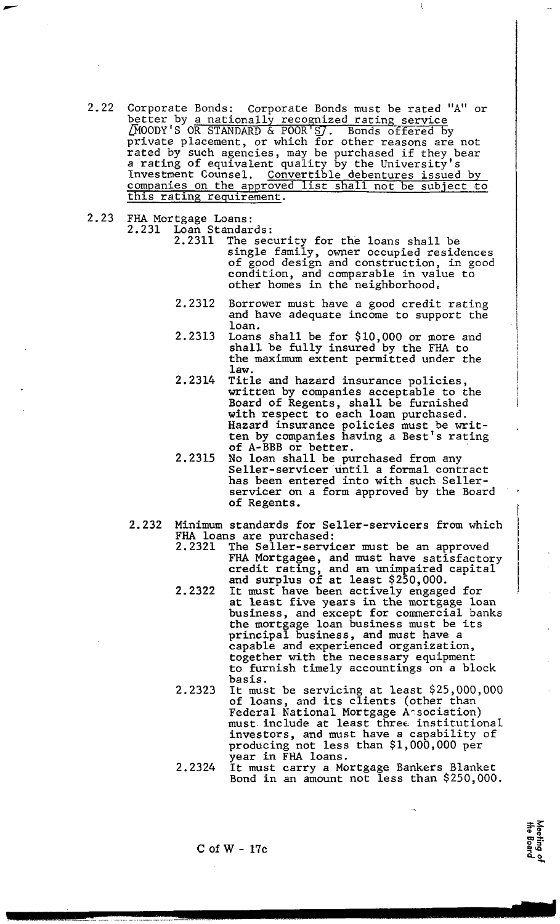- 2.22 Corporate Bonds: Corporate Bonds must be rated **"A"** or better by a nationally recognized rating service ~~OODY'S OR STANDARD & POOR'S/. Bonds offered bv private placement, or which for other reasons are not rated by such agencies, may be purchased if they bear a rating of equivalent quality by the University's Investment Counsel. Convertible debentures issued by companies on the approved list shall not be subject to this ratins requirement.
- 2.23 FHA Mortgage Loans:
	- Loan Standards:<br>2.2311 The sec
		- 2.2311 The security for the loans shall be single family, owner occupied residences of good design and construction, in good condition, and comparable in value to other homes in the neighborhood.
			- 2.2312 Borrower must have a good credit rating and have adequate income to support the loan.
			- 2.2313 Loans shall be for \$10,000 or more and shall be fully insured by the FHA to the maximum extent permitted under the law.
			- 2.2314 Title and hazard insurance policies, written by companies acceptable to the Board of Regents, shall be furnished with respect to each loan purchased. Hazard insurance policies must be written by companies having a Best's rating of A-BBB or better.
			- 2.2315 No loan shall be purchased from anv Seller-servicer until a formal contract has been entered into with such Sellerservicer on a form approved by the Board of Regents .
	- 2.232 Minimum standards for Seller-servicers from which FHA loans are purchased:<br>2.2321 The Seller-servi
		- The Seller-servicer must be an approved FHA Mortgagee, and must have satisfactory credit rating, and an unimpaired capital and surplus of at least \$250,000.

 $\vert$ 

- 2.2322 It must have been actively engaged for at least five years in the mortgage loan business, and except for comercia1 banks the mortgage loan business must be its principal business, and must have a capable and experienced organization, together with the necessary equipment to furnish timely accountings on a block basis.
- 2.2323 It must be servicing at least \$25,000,000 of loans, and its clients (other than Federal National Mortgage Arsociation) must include at least three institutional investors, and must have a capability of producing not less than \$1,000,000 per year in FHA loans.
- 2.2324 It must carry a Mortgage Bankers Blanket Bond in an amount not less than \$250,000.

C of W - 17c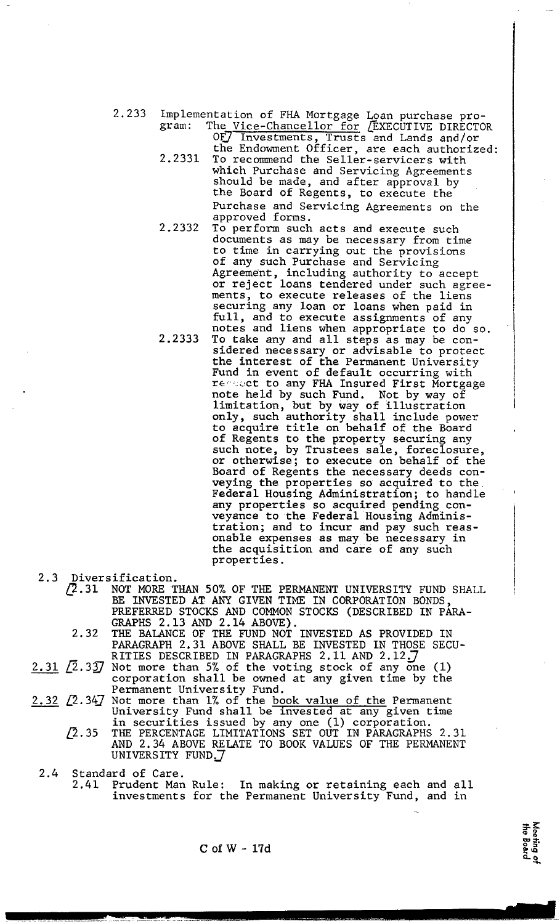2.233 Implementation of FHA Mortgage Loan purchase program: The Vice-Chancellor for *(*EXECUTIVE DIRECTOR OF*)* Investments, Trusts and Lands and/or

- the Endowment Officer, are each authorized: 2.2331 To recommend the Seller-servicers with which Purchase and Servicing Agreements should be made, and after approval by the Board of Regents, to execute the Purchase and Servicing Agreements on the approved forms.
- 2.2332 To perform such acts and execute such documents as may be necessary from time to time in carrying out the provisions of any such Purchase and Servicing Agreement, including authority to accept or reject loans tendered under such agreements, to execute releases of the liens securing any loan or loans when paid in full, and to execute assignments of any notes and liens when appropriate to do so.
- 2.2333 To take any and all steps as may be considered necessary or advisable to protect the interest of the Permanent University Fund in event of default occurring with requect to any FHA Insured First Mortgage note held by such Fund. Not by way of limitation, but by way of illustration only, such authority shall include power to acquire title on behalf of the Board of Regents to the property securing any such note, by Trustees sale, foreclosure, or otherwise; to execute on behalf of the Board of Regents the necessary deeds conveying the properties so acquired to the Federal Housing Administration; to handle any properties so acquired pending conveyance to the Federal Housing Administration; and to incur and pay such reasonable expenses as may be necessary in the acquisition and care of any such properties.
- 2.3 Diversification.<br>
2.31 NOT MORE T
	- $\sqrt{2}.31$  NOT MORE THAN 50% OF THE PERMANENT UNIVERSITY FUND SHALL BE INVESTED AT ANY GIVEN TIME IN CORPORATION BONDS, PREFERRED STOCKS AND COMMON STOCKS (DESCRIBED IN PARA-GRAPHS 2.13 AND 2.14 ABOVE).
	- 2.32 THE BALANCE OF THE FUND NOT^ INVESTED AS PROVIDED IN PARAGRAPH 2.31 ABOVE SHALL BE INVESTED IN THOSE SECU-<br>RITIES DESCRIBED IN PARAGRAPHS 2.11 AND 2.12.7
- 2.31  $\langle 2.33 \rangle$  Not more than 5% of the voting stock of any one (1) corporation shall be owned at any given time by the  $\sim$  Permanent University Fund.
- $2.32$   $[2.34]$  Not more than 1% of the book value of the Permanent University Fund shall be invested at any given time in securities issued by any one (1) corporation.
	- $\sqrt{2}.35$  THE PERCENTAGE LIMITATIONS SET OUT IN PARAGRAPHS 2.31 AND 2.34 ABOVE RELATE TO BOOK VALUES OF THE PERMANENT UNIVERSITY FUND.
- 2.4 Standard of Care.
	- 2.41 Prudent Man Rule: In making or retaining each and all investments for the Permanent University Fund, and in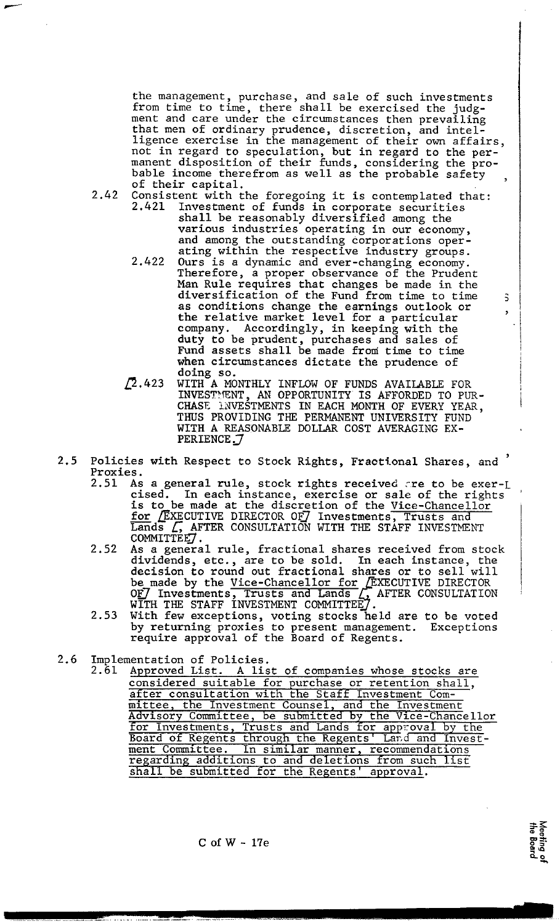the management, purchase, and sale of such investments from time to time, there shall be exercised the judgment and care under the circumstances then prevailing that men of ordinary prudence, discretion, and intelligence exercise in the management of their own affairs, not in regard to speculation, but in regard to the permanent disposition of their funds, considering the probable income therefrom as well as the probable safety , of their capital.

- 2.42 Consistent with the foregoing it is contemplated that:<br>2.421 Investment of funds in corporate securities Investment of funds in corporate securities shall be reasonably diversified among the various industries operating in our economy, and among the outstanding corporations operating within the respective industry groups.
	- 2.422 Ours is a dynamic and ever-changing economy. Therefore, a proper observance of the Prudent Man Rule requires that changes be made in the diversification of the Fund from time to time 3 as conditions change the earnings outlook or the relative market level for a particular company. Accordingly, in keeping with the duty to be prudent, purchases and sales of Fund assets shall be made froni time to time when circumstances dictate the prudence of doing so.
	- doing so.<br>  $\sqrt{2.423}$  WITH A MONTHLY INFLOW OF FUNDS AVAILABLE FOR intervalse and opportunity is arrespected to the INVESTRENT, AN OPPORTUNITY IS AFFORDED TO PUR-  $|$ CHASE ANVESTMENTS IN EACH MONTH OF EVERY YEAR,  $\,$ THUS PROVIDING THE PERMANENT UNIVERSITY FUND WITH A REASONABLE DOLLAR COST AVERAGING EX-PERIENCE **J**
- **<sup>5</sup>**2.5 Policies with Respect to Stock Rights, Fractional Shares, and Proxies.<br>2.51 As
	- As a general rule, stock rights received are to be exer-L cised. In each instance, exercise or sale of the rights is to be made at the discretion of the Vice-Chancellor es with Respect to Stock Rights, Fractional Shares, and<br>s.<br>As a general rule, stock rights received are to be exercised. In each instance, exercise or sale of the right<br>is to be made at the discretion of the Vice-Chancello
	- COMMITTEET.<br>2.52 As a general rule, fractional shares received from stock dividends, etc., are to be sold. In each instance, the decision to round out fractional shares or to sell will |<br>be made by the <u>Vice-Chancellor for</u> *E*XECUTIVE DIRECTOR<br>OF Investments, Trusts and Lands . AFTER CONSULTATION !!<br>WITH THE CRAFE INFERNENT CONSULTEE? WITH THE STAFF INVESTMENT COMMITTEE  $j$
	- 2.53 With few exceptions, voting stocks held are to be voted by returning proxies to present management. Exceptions require approval of the Board of Regents.
- 2.6 Implementation of Policies.
	- 2.61 Approved List. A list of companies whose stocks are considered suitable for purchase or retention shall, after consultation with the Staff Investment Committee, the Investment Counsel, and the Investment Advisory Committee, be submitted by the Vice-chancellor for Investments, Trusts and Lands for approval by the Board of Regents through the Regents' Land and Inve ment Committee. In similar manner, recommendations regarding additions to and deletions from such list shall be submitted for the Regents' approval.

 $C$  of  $W - 17e$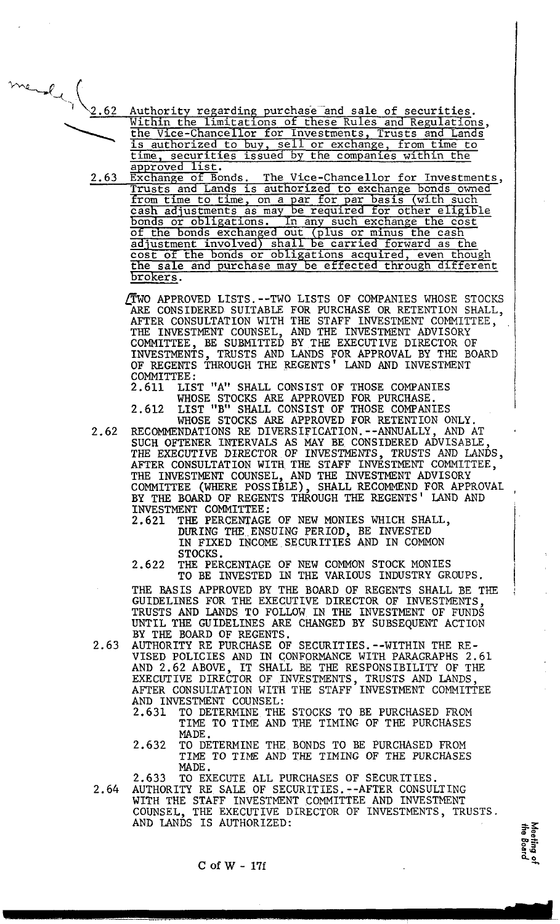- mender le 1 Authority regarding purchase and sale of securities.<br>Within the limitations of these Rules and Regulations, the Vice-Chancellor for Investments, Trusts and Lands is authorized to buy, sell or exchange, from time to<br>time, securities issued by the companies within the approved list.
	- Exchange of Bonds. The Vice-Chancellor for Investments,<br>Trusts and Lands is authorized to exchange bonds owned 2.63 Trusts and Lands is authorized to exchange bonds owned<br>from time to time, on a par for par basis (with such<br>cash adjustments as may be required for other eligible<br>bonds or obligations. In any such exchange the cost<br>of the cost of the bonds or obligations acquired, even though<br>the sale and purchase may be effected through different<br>brokers.

DWO APPROVED LISTS. --TWO LISTS OF COMPANIES WHOSE STOCKS ARE CONSIDERED. SUITABLE FOR PURCHASE OR RETENTION SHALL, AFTER CONSULTATION WITH THE STAFF INVESTMENT COMMITTEE,  $\,$   $\,$   $\,$   $\,$ THE INVESTMENT COUNSEL, AND THE INVESTMENT ADVISORY (COMMITTEE, BE SUBMITTED BY THE EXECUTIVE DIRECTOR OF INVESTMENTS, TRUSTS AND LANDS FOR APPROVAL BY THE BOARD OF REGENTS THROUGH THE REGENTS' LAND AND INVESTMENT COMMITTEE:<br>2.611 LIS

LIST "A" SHALL CONSIST OF THOSE COMPANIES WHOSE STOCKS ARE APPROVED FOR PURCHASE.

- 2.612 LIST "B" SHALL CONSIST OF THOSE COMPANIES WHOSE STOCKS ARE APPROVED FOR RETENTION ONLY.
- 2.62 RECOMMENDATIONS RE DIVERSIFICATION.--ANNUALLY, AND AT SUCH OFTENER INTERVALS AS MAY BE CONSIDERED ADVISABLE. THE EXECUTIVE DIRECTOR OF INVESTMENTS, TRUSTS AND LANDS, AFTER CONSULTATION WITH THE STAFF INVESTMENT COMMITTEE, THE INVESTMENT COUNSEL, AND THE INVESTMENT ADVISORY COMMITTEE (WHERE POSSIBLE), SHALL RECOMMEND FOR APPROVAL BY THE BOARD OF REGENTS THROUGH THE REGENTS' LAND AND<br>INVESTMENT COMMITTEE:
	- 2.621 THE PERCENTAGE OF NEW MONIES WHICH SHALL, DURING THE ENSUING PERIOD, BE INVESTED IN FIXED INCOME SECURITIES AND IN COMMON STOCKS.
	- 2.622 THE PERCENTAGE OF NEW COMMON STOCK MONIES TO BE INVESTED IN THE VARIOUS INDUSTRY GROUPS.

THE BASIS APPROVED BY THE BOARD OF REGENTS SHALL BE THE GUIDELINES FOR THE EXECUTIVE DIRECTOR OF INVESTMENTS, TRUSTS AND LANDS TO FOLLOW IN THE INVESTMENT OF FUNDS UNTIL THE GUIDELINES ARE CHANGED BY SUBSEQUENT ACTICN

- BY THE BOARD OF REGENTS.<br>2.63 AUTHORITY RE PURCHASE OF SECURITIES.--WITHIN THE RE-VISED POLICIES AND IN CONFORMANCE WITH PARAGRAPHS 2.61 AND 2.62 ABOVE, IT SHALL BE THE RESPONSIBILITY OF THE EXECUTIVE DIRECTOR OF INVESTMENTS, TRUSTS AND LANDS, AFTER CONSULTATION WITH THE STAFF INVESTMENT COMMITTEE AND INVESTMENT COUNSEL:<br>2.631 TO DETERMINE THE
	- TO DETERMINE THE STOCKS TO BE PURCHASED FROM TIME TO TIME AND THE TIMING OF THE PURCHASES **MADE**
	- 2.632 TO-DETERMINE THE BONDS TO BE PURCHASED FROM TIME TO TIME AND THE TIMING OF THE PURCHASES MADE.

2.633 TO EXECUTE ALL PURCHASES OF SECURITIES.

2.64 AUTHORITY RE SALE OF SECURITIES.--AFTER CONSULTING WITH THE STAFF INVESTMENT COMMITTEE AND INVESTMENT COUNSEL, THE EXECUTIVE DIRECTOR OF INVESTMENTS, TRUSTS. AND LANDS IS AUTHORIZED:

**m** !2

 $C$  of  $W - 17f$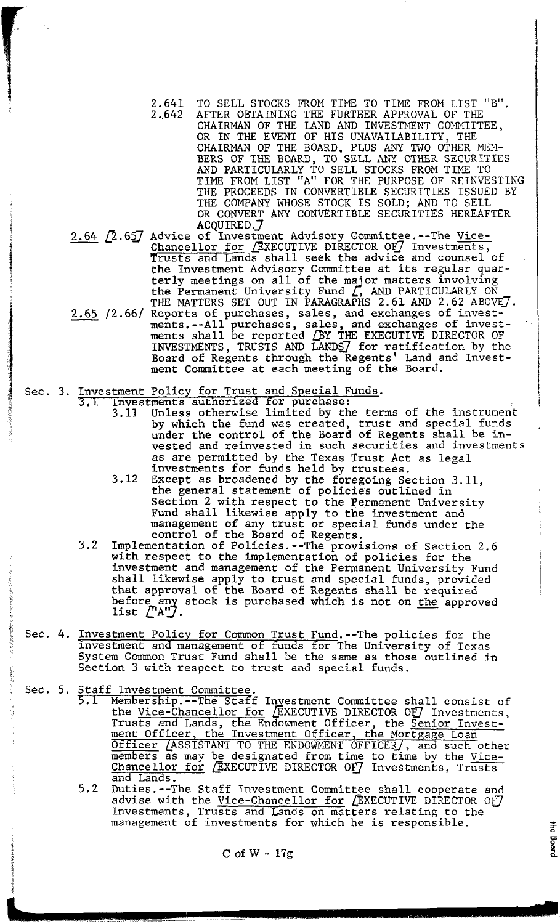- 2.641 TO SELL STOCKS FROM TIME TO TIME FROM LIST "B" . 2.642 AFTER OBTAINING THE FURTHER APPROVAL OF THE CHAIRMAN OF THE LAND AND INVESTMENT COMMITTEE, OR IN THE EVENT OF HIS UNAVAILABILITY, THE CHAIRMAN OF THE BOARD, PLUS ANY TWO OTHER MEM-BERS OF THE BOARD, TO'SELL ANY OTHER SECURITIES AND PARTICULARLY TO SELL STOCKS FROM TIME TO TIME FROM LIST "A" FOR THE PURPOSE OF REINVESTING THE PROCEEDS IN CONVERTIBLE SECURITIES ISSUED BY THE COMPANY WHOSE STOCK IS SOLD; AND TO SELL OR CONVERT ANY CONVERTIBLE SECURITIES HEREAFTER **<sup>i</sup>**ACQUIRED *.J*  AND PARTICULARLY TO SELL STOCKS FROM TIME TO<br>
TIME FROM LIST "A" FOR THE PURPOSE OF REINVE<br>
THE PROCEEDS IN CONVERTIBLE SECURITIES ISSUE<br>
THE COMPANY WHOSE STOCK IS SOLD; AND TO SELL<br>
OR CONVERT ANY CONVERTIBLE SECURITIES
- Chancellor for . EXECUTIVE DIRECTOR OF Investments,<br>
Trusts and Lands shall seek the advice and counsel of<br>
the Investment Advisory Committee at its regular quan Trusts and Lands shall seek the advice and counsel of the Investment Advisory Committee at its regular quar-<br>terly meetings on all of the major matters involving the Permanent University Fund *2* AND PARTICULARLY ON THE MATTERS SET OUT IN PARAGRAPHS 2.61 AND 2.62 ABOVE  $\mathcal{I}$ . CALCORET CONSIDERT CONSIDERT CONSIDERT CONSIDERT CONSIDERT CONSIDERT CONSIDERT CONSIDERT CONSIDERT CONSIDERT CONSIDERT CONSIDERT CONSIDERT CONSIDERT CONSIDERT CONSIDERT CONSIDERT CONSIDERT CONSIDERT CONSIDERT CONSIDERT CON ments.--All purchases, sales, and exchanges of invest-ments shall be reported CBY THE EXECUTIVE DIRECTOR OF INVESTMENTS, TRUSTS AND LANDS for ratification by the Board of Regents through the Regents' Land and Investment Committee at each meeting of the Board.

## Sec. 3. Investment Policy for Trust and Special Funds.

- 3.1 Investments authorized for purchase: 3.11 Unless otherwise limited by the terms of the instrument by which the fund was created, trust and special funds under the control of the Board of Regents shall be invested and reinvested in such securities and investments<br>as are permitted by the Texas Trust Act as legal as are permitted by the Texas Trust Act as legal investments for funds held by trustees.
	- 3.12 Except as broadened by the foregoing Section 3.11, the general statement of policies outlined in Section 2 with respect to the Permanent University Fund shall likewise apply to the investment and management of any trust or special funds under the control of the Board of Regents.
- **3.2** Implementation of Policies.--The provisions of Section 2.6 with respect to the implementation of policies for the investment and management of the Permanent University Fund shall likewise apply to trust and special funds, provided that approval of the Board of Regents shall be required before any stock is purchased which is not on the approved<br>list  $\sqrt{\begin{bmatrix} A'' \end{bmatrix}}$ . Implementation of Folicies.--The provisions of Section<br>with respect to the implementation of policies for the<br>investment and management of the Permanent University<br>shall likewise apply to trust and special funds, prov<br>that
- Sec. 4. <u>Investment Policy for Common Trust Fund</u>.--The policies for the Investment and management of funds for The University of Texas System Common Trust Fund shall be the same as those outlined in section 3 with respect to trust and special funds.
- Sec. 5. Staff Investment Committee<br>5.1 Membership.--The Staf
	- 1 Membership.--The Staff Investment Committee shall consist of the <u>Vice-Chancellor for</u> *(*EXECUTIVE DIRECTOR OF*)* Investments, Trusts and Lands, the Endowment Officer, the Senior Investment Officer, the Investment Officer, the Mortgage Loan Officer *(ASSISTANT TO THE ENDOWMENT OFFICER)*, and such other members as may be designated from time to time by the Vice-<br>Chancellor for EXECUTIVE DIRECTOR OF Investments, Trusts and Lands.
	- 5.2 Duties.--The Staff Investment Committee shall cooperate and advise with the <u>Vice-Chancellor for</u>  $\sqrt{\texttt{EXECUTE}}$  DIRECTOR OF  $\vec{J}$ Investments, Trusts and Lands on matters relating to the management of investments for which he is responsible.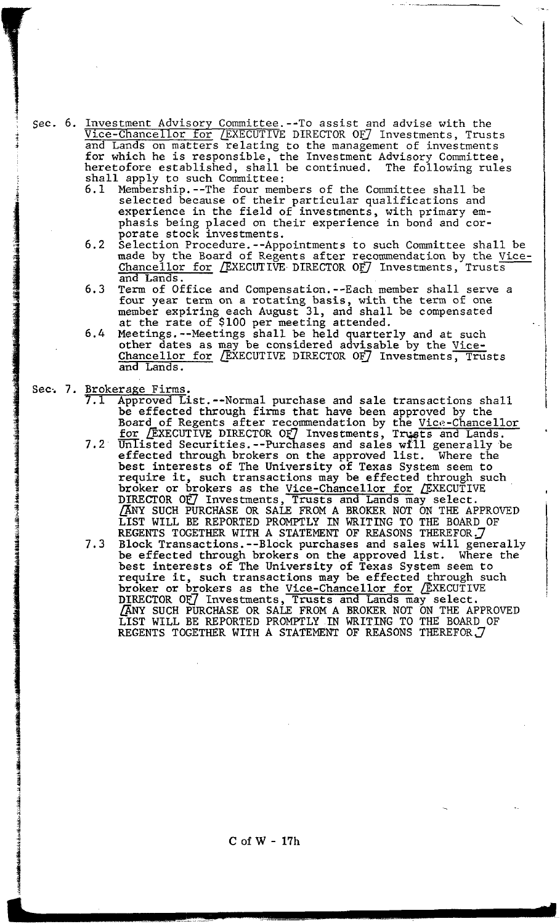, Sec. 6. Investment Advisory Committee.--To assist and advise with the <sup>+</sup>Vice-chancellor for LEXECUTIVE DIRECTOR OFJ Investments, Trusts 1 and Lands on matters relating to the management of investments for which he is responsible, the Investment Advisory Committee, heretofore established, shall be continued. The following rules shall apply to such committee:

6.1 Membership.--The four members of the Committee shall be selected because of their particular qualifications and experience in the field of investments, with primary emphasis being placed on their experience in bond and corporate stock investments.

- 6.2 Selection Procedure.--Appointments to such Committee shall be made by the Board of Regents after recommendation by the Vice-Chancellor for  $/$ EXECUTIVE DIRECTOR OF Investments, Trusts and Lands.
- 6.3 Term of Office and Compensation.--Each member shall serve a four year term on a rotating basis, with the term of one member expiring each August 31, and shall be compensated at the rate of \$100 per meeting attended.
- 6.4 Meetings.--Meetings shall be held quarterly and at such other dates as may be considered advisable by the Vice-Chancellor for *(*EXECUTIVE DIRECTOR OF*)* Investments<del>, Tru</del>sts<br>and Lands.
- Sec. 7. Brokerage Firms.<br>7.1 Approved L

i<br>i<br>i<br>i

- **7.1** Approved List.--Normal purchase and sale transactions shall be effected through firms that have been approved by the Board of Regents after recommendation by the Vice-Chancellor<br>for EXECUTIVE DIRECTOR OF Investments, Trusts and Lands.
- 7.2  $\overline{infixed}$  Securities.--Purchases and sales will generally be effected through brokers on the approved list. Where the best interests of The University of Texas System seem to require it, such transactions may be effected through such broker or brokers as the <u>Vice-Chancellor for</u>  $\sqrt{E}$ XECUT DIRECTOR OF7 Investments, Trusts and Lands may select. SUCH PURCHASE OR SALE FROM A BROKER NOT ON THE APPROVED LIST WILL BE REPORTED PROMPTLY IN WRITING TO THE BOARD OF REGENTS TOGETHER WITH A STATEMENT OF REASONS THEREFOR. 7
- 7.3 Block Transactions.--Block purchases and sales will generally be effected through brokers on the approved list. Where the best interests of The University of Texas System seem to require it, such transactions may be effected through such broker or brokers as the Vice-Chancellor for (EXECUTIVE<br>DIRECTOR OF) Investments, Trusts and Lands may select.<br>(ANY GUOIL NURGULAR OR SALE NORTH DOWN NOR ON THE ARRE SUCH PURCHASE OR SALE FROM A BROKER NOT ON THE APPROVED LIST WILL BE REPORTED PROMPTLY IN WRITING TO THE BOARD OF REGENTS TOGETHER WITH A STATEMENT OF REASONS THEREFOR  $J$

 $C$  of  $W - 17h$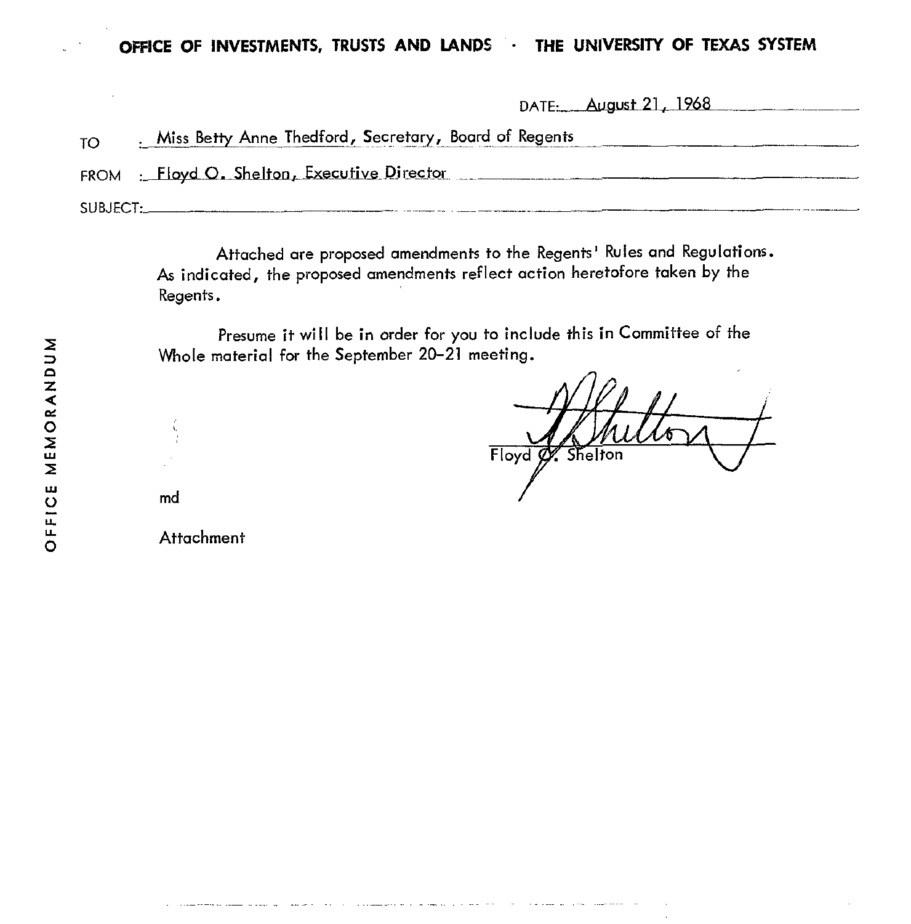| <b>TO</b> | Miss Betty Anne Thedford, Secretary, Board of Regents |
|-----------|-------------------------------------------------------|
|           | FROM : Floyd O. Shelton, Executive Director           |
|           |                                                       |

Attached are proposed amendments to the Regents' Rules and Regulations. As indicated, the proposed amendments reflect action heretofore taken by the Regents.

Presume it will be in order for you to include this in Committee of the Whole material for the September 20-21 meeting.

Floyd Shelton

DATE: August 21, 1968

md

**Attachment** 

and a straightful contract the community of the company of the state of the **Alan and Alan**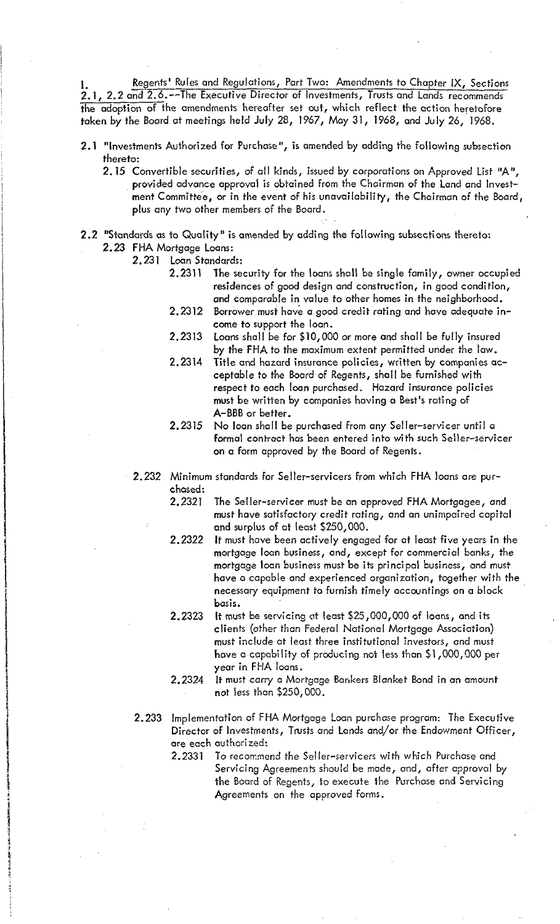Regents' Rules and Regulations, Part Two: Amendments to Chapter IX, Sections 2.1, 2.2 and 2.6.--The Executive Director of Investments, Trusts and Lands recommends the adoption of the amendments hereafter set out, which reflect the action heretofore taken by the Board at meetings held July 28, 1967, May 31, 1968, and July 26, 1968.

- 2.1 "Investments Authorized for Purchase", is amended by adding the following subsection thereto:
	- 2.15 Convertible securities, of all kinds, issued by corporations on Approved List "A", provided advance approval is obtained from the Chairman of the Land and Investment Committee, or in the event of his unavailability, the Chairman of the Board, plus any two other members of the Board.
- **2.2** "Standards as to Quality" is amended by adding the following subsections thereto: 2.23 FHA Mortgage Loans:
	- 2.231 Loan Standards:
		- 2.2311 The security for the loons shall be single family, owner occupied residences of good design and construction, in good condition, and comparable in value to other homes in the neighborhood.
		- 2.2312 Borrower must have a good credit rating and have adequate income to support the loan.
		- Loans shall be for \$10,000 or more and shall be fully insured 2.2313 by the FHA to the maximum extent permitted under the law.
		- 2.2314 Title and hazard insurance policies, written by companies acceptable to the Board of Regents, shall be furnished with respect to each loan purchased. Hazard insurance policies must be written by companies having a Best's rating of A-BBB or better.
		- 2.2315 No loan shall be purchased from any Seller-servicer until a formal contract has been entered into with such Seller-sewicer on a form approved by the Board of Regents.
	- Minimum standards for Seller-servicers from which FHA loans are purchased:
		- 2.2321 The Seller-servicer must be an approved FHA Mortgagee, and must have satisfactory credit rating, and an unimpaired capital and surplus of at least \$250,000.
		- 2.2322 It must have been actively engaged for at least five years in the mortgage loan business, and, except for commercial banks, the mortgage locn business must be its principal business, and must have o capable and experienced organization, together with the necessary equipment to furnish timely accountings on a block basis.
		- 2.2323 It must be servicing ut least \$25,000,000 of loans, and its clients (other than Federal Nationol Mortgage Association) must include at least three institutional investors, and must have a capability of producing not less than \$l,OOO,OOO per year in FHA loans.
		- 2.2324 It must carry a Mortgage Bankers Blanket Bond in an amount not less than \$250,000.
	- 2.233 Implementation of FHA Mortgage Loan purchase program: The Executive Director of Investments, Twsts and Lands and/or the Endowment Officer, are each authorized:
		- 2.2331 To recommend the Seller-servicers with which Purchase and Servicing Agreements should be made, and, after approval by the Board of Regents, to execute the Purchase and Servicing Agreements on the approved forms.